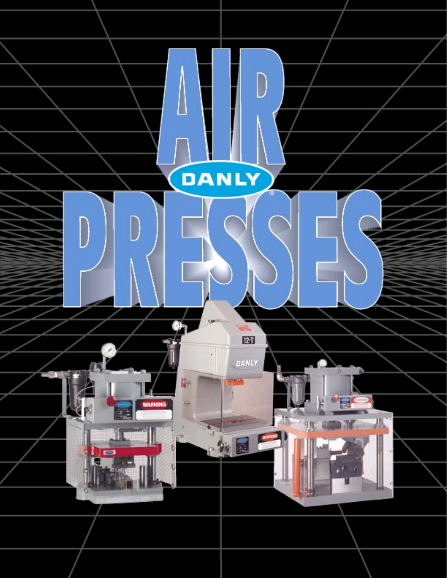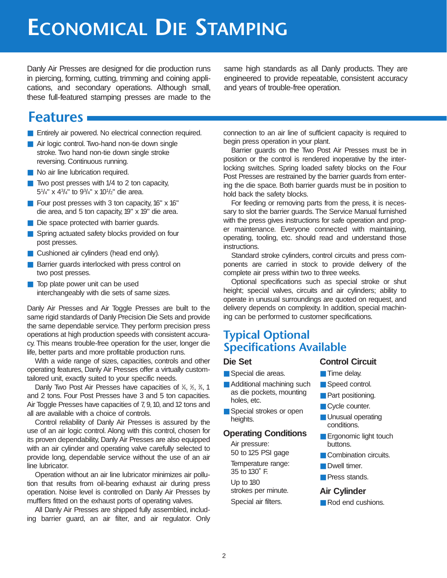## **ECONOMICAL DIE STAMPING**

Danly Air Presses are designed for die production runs in piercing, forming, cutting, trimming and coining applications, and secondary operations. Although small, these full-featured stamping presses are made to the same high standards as all Danly products. They are engineered to provide repeatable, consistent accuracy and years of trouble-free operation.

### **Features**

- Entirely air powered. No electrical connection required.
- Air logic control. Two-hand non-tie down single stroke. Two hand non-tie down single stroke reversing. Continuous running.
- No air line lubrication required.
- $\blacksquare$  Two post presses with 1/4 to 2 ton capacity, 51 /4" x 43 /4" to 93 /4" x 101 /2" die area.
- Four post presses with 3 ton capacity, 16" x 16" die area, and 5 ton capacity, 19" x 19" die area.
- Die space protected with barrier guards.
- Spring actuated safety blocks provided on four post presses.
- Cushioned air cylinders (head end only).
- Barrier guards interlocked with press control on two post presses.
- Top plate power unit can be used interchangeably with die sets of same sizes.

Danly Air Presses and Air Toggle Presses are built to the same rigid standards of Danly Precision Die Sets and provide the same dependable service. They perform precision press operations at high production speeds with consistent accuracy. This means trouble-free operation for the user, longer die life, better parts and more profitable production runs.

With a wide range of sizes, capacities, controls and other operating features, Danly Air Presses offer a virtually customtailored unit, exactly suited to your specific needs.

Danly Two Post Air Presses have capacities of  $\frac{1}{4}$ ,  $\frac{1}{2}$ ,  $\frac{3}{4}$ , 1 and 2 tons. Four Post Presses have 3 and 5 ton capacities. Air Toggle Presses have capacities of 7, 9,10, and 12 tons and all are available with a choice of controls.

Control reliability of Danly Air Presses is assured by the use of an air logic control. Along with this control, chosen for its proven dependability, Danly Air Presses are also equipped with an air cylinder and operating valve carefully selected to provide long, dependable service without the use of an air line lubricator.

Operation without an air line lubricator minimizes air pollution that results from oil-bearing exhaust air during press operation. Noise level is controlled on Danly Air Presses by mufflers fitted on the exhaust ports of operating valves.

All Danly Air Presses are shipped fully assembled, including barrier guard, an air filter, and air regulator. Only connection to an air line of sufficient capacity is required to begin press operation in your plant.

Barrier guards on the Two Post Air Presses must be in position or the control is rendered inoperative by the interlocking switches. Spring loaded safety blocks on the Four Post Presses are restrained by the barrier guards from entering the die space. Both barrier guards must be in position to hold back the safety blocks.

For feeding or removing parts from the press, it is necessary to slot the barrier guards. The Service Manual furnished with the press gives instructions for safe operation and proper maintenance. Everyone connected with maintaining, operating, tooling, etc. should read and understand those instructions.

Standard stroke cylinders, control circuits and press components are carried in stock to provide delivery of the complete air press within two to three weeks.

Optional specifications such as special stroke or shut height; special valves, circuits and air cylinders; ability to operate in unusual surroundings are quoted on request, and delivery depends on complexity. In addition, special machining can be performed to customer specifications.

### **Typical Optional Specifications Available**

#### **Die Set**

- Special die areas.
- Additional machining such as die pockets, mounting holes, etc.
- Special strokes or open heights.

#### **Operating Conditions**

Air pressure: 50 to 125 PSI gage Temperature range: 35 to 130˚ F. Up to 180 strokes per minute. Special air filters.

- **Control Circuit**
- Time delay.
- Speed control.
	- Part positioning.
	- Cycle counter.
	- Unusual operating conditions.
	- Ergonomic light touch buttons.
	- Combination circuits.
	- Dwell timer.
	- Press stands.

#### **Air Cylinder**

■ Rod end cushions.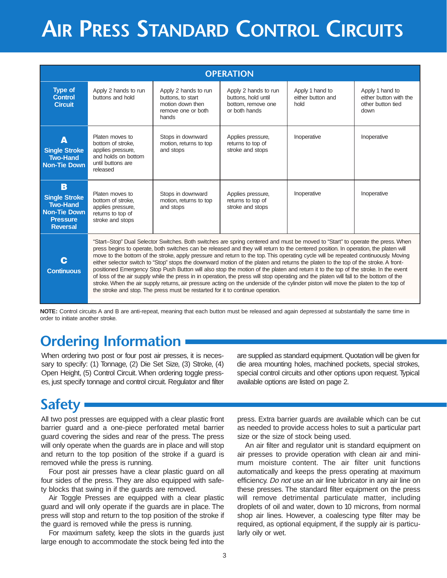# **AIR PRESS STANDARD CONTROL CIRCUITS**

|                                                                                                           |                                                                                                                   |                                                                                              | <b>OPERATION</b>                                                                                                                                                                                                                                                                                                                                                                                                                                                                                                                                                                                                                                                                                                                                                                                                                                                                                                                                                         |                                              |                                                                        |  |
|-----------------------------------------------------------------------------------------------------------|-------------------------------------------------------------------------------------------------------------------|----------------------------------------------------------------------------------------------|--------------------------------------------------------------------------------------------------------------------------------------------------------------------------------------------------------------------------------------------------------------------------------------------------------------------------------------------------------------------------------------------------------------------------------------------------------------------------------------------------------------------------------------------------------------------------------------------------------------------------------------------------------------------------------------------------------------------------------------------------------------------------------------------------------------------------------------------------------------------------------------------------------------------------------------------------------------------------|----------------------------------------------|------------------------------------------------------------------------|--|
| <b>Type of</b><br><b>Control</b><br><b>Circuit</b>                                                        | Apply 2 hands to run<br>buttons and hold                                                                          | Apply 2 hands to run<br>buttons, to start<br>motion down then<br>remove one or both<br>hands | Apply 2 hands to run<br>buttons, hold until<br>bottom, remove one<br>or both hands                                                                                                                                                                                                                                                                                                                                                                                                                                                                                                                                                                                                                                                                                                                                                                                                                                                                                       | Apply 1 hand to<br>either button and<br>hold | Apply 1 hand to<br>either button with the<br>other button tied<br>down |  |
| Δ<br><b>Single Stroke</b><br><b>Two-Hand</b><br><b>Non-Tie Down</b>                                       | Platen moves to<br>bottom of stroke.<br>applies pressure,<br>and holds on bottom<br>until buttons are<br>released | Stops in downward<br>motion, returns to top<br>and stops                                     | Applies pressure,<br>returns to top of<br>stroke and stops                                                                                                                                                                                                                                                                                                                                                                                                                                                                                                                                                                                                                                                                                                                                                                                                                                                                                                               | Inoperative                                  | Inoperative                                                            |  |
| B<br><b>Single Stroke</b><br><b>Two-Hand</b><br><b>Non-Tie Down</b><br><b>Pressure</b><br><b>Reversal</b> | Platen moves to<br>bottom of stroke,<br>applies pressure,<br>returns to top of<br>stroke and stops                | Stops in downward<br>motion, returns to top<br>and stops                                     | Applies pressure,<br>returns to top of<br>stroke and stops                                                                                                                                                                                                                                                                                                                                                                                                                                                                                                                                                                                                                                                                                                                                                                                                                                                                                                               | Inoperative                                  | Inoperative                                                            |  |
| C<br><b>Continuous</b>                                                                                    |                                                                                                                   | the stroke and stop. The press must be restarted for it to continue operation.               | "Start-Stop" Dual Selector Switches. Both switches are spring centered and must be moved to "Start" to operate the press. When<br>press begins to operate, both switches can be released and they will return to the centered position. In operation, the platen will<br>move to the bottom of the stroke, apply pressure and return to the top. This operating cycle will be repeated continuously. Moving<br>either selector switch to "Stop" stops the downward motion of the platen and returns the platen to the top of the stroke. A front-<br>positioned Emergency Stop Push Button will also stop the motion of the platen and return it to the top of the stroke. In the event<br>of loss of the air supply while the press in in operation, the press will stop operating and the platen will fall to the bottom of the<br>stroke. When the air supply returns, air pressure acting on the underside of the cylinder piston will move the platen to the top of |                                              |                                                                        |  |

**NOTE:** Control circuits A and B are anti-repeat, meaning that each button must be released and again depressed at substantially the same time in order to initiate another stroke.

### **Ordering Information**

When ordering two post or four post air presses, it is necessary to specify: (1) Tonnage, (2) Die Set Size, (3) Stroke, (4) Open Height, (5) Control Circuit. When ordering toggle presses, just specify tonnage and control circuit. Regulator and filter

are supplied as standard equipment.Quotation will be given for die area mounting holes, machined pockets, special strokes, special control circuits and other options upon request. Typical available options are listed on page 2.

## **Safety**

All two post presses are equipped with a clear plastic front barrier guard and a one-piece perforated metal barrier guard covering the sides and rear of the press. The press will only operate when the guards are in place and will stop and return to the top position of the stroke if a guard is removed while the press is running.

Four post air presses have a clear plastic guard on all four sides of the press. They are also equipped with safety blocks that swing in if the guards are removed.

Air Toggle Presses are equipped with a clear plastic guard and will only operate if the guards are in place. The press will stop and return to the top position of the stroke if the guard is removed while the press is running.

For maximum safety, keep the slots in the guards just large enough to accommodate the stock being fed into the

press. Extra barrier guards are available which can be cut as needed to provide access holes to suit a particular part size or the size of stock being used.

An air filter and regulator unit is standard equipment on air presses to provide operation with clean air and minimum moisture content. The air filter unit functions automatically and keeps the press operating at maximum efficiency. Do not use an air line lubricator in any air line on these presses. The standard filter equipment on the press will remove detrimental particulate matter, including droplets of oil and water, down to 10 microns, from normal shop air lines. However, a coalescing type filter may be required, as optional equipment, if the supply air is particularly oily or wet.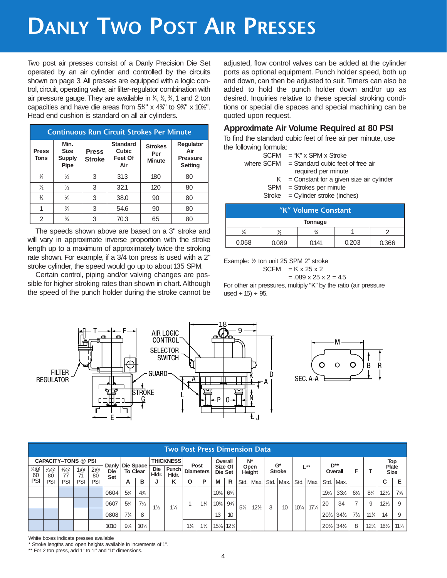# **DANLY TWO POST AIR PRESSES**

Two post air presses consist of a Danly Precision Die Set operated by an air cylinder and controlled by the circuits shown on page 3. All presses are equipped with a logic control, circuit, operating valve, air filter-regulator combination with air pressure gauge. They are available in  $\frac{1}{4}$ ,  $\frac{1}{2}$ ,  $\frac{3}{4}$ , 1 and 2 ton capacities and have die areas from  $5\frac{1}{4}$ " x  $4\frac{3}{4}$ " to  $9\frac{3}{4}$ " x  $10\frac{1}{2}$ ". Head end cushion is standard on all air cylinders.

| <b>Continuous Run Circuit Strokes Per Minute</b> |                                              |                               |                                                   |                                        |                                                       |  |  |  |  |
|--------------------------------------------------|----------------------------------------------|-------------------------------|---------------------------------------------------|----------------------------------------|-------------------------------------------------------|--|--|--|--|
| <b>Press</b><br><b>Tons</b>                      | Min.<br><b>Size</b><br><b>Supply</b><br>Pipe | <b>Press</b><br><b>Stroke</b> | <b>Standard</b><br><b>Cubic</b><br>Feet Of<br>Air | <b>Strokes</b><br>Per<br><b>Minute</b> | Regulator<br>Air<br><b>Pressure</b><br><b>Setting</b> |  |  |  |  |
| ¼                                                | $\frac{1}{2}$                                | 3                             | 31.3                                              | 180                                    | 80                                                    |  |  |  |  |
| ⅛                                                | $\frac{1}{2}$                                | 3                             | 32.1                                              | 120                                    | 80                                                    |  |  |  |  |
| $\frac{3}{4}$                                    | ℅                                            | 3                             | 38.0                                              | 90                                     | 80                                                    |  |  |  |  |
|                                                  | $\frac{3}{4}$                                | 3                             | 54.6                                              | 90                                     | 80                                                    |  |  |  |  |
| 2                                                | $\frac{3}{4}$                                | 3                             | 70.3                                              | 65                                     | 80                                                    |  |  |  |  |

The speeds shown above are based on a 3" stroke and will vary in approximate inverse proportion with the stroke length up to a maximum of approximately twice the stroking rate shown. For example, if a 3/4 ton press is used with a 2" stroke cylinder, the speed would go up to about 135 SPM.

Certain control, piping and/or valving changes are possible for higher stroking rates than shown in chart. Although the speed of the punch holder during the stroke cannot be

adjusted, flow control valves can be added at the cylinder ports as optional equipment. Punch holder speed, both up and down, can then be adjusted to suit. Timers can also be added to hold the punch holder down and/or up as desired. Inquiries relative to these special stroking conditions or special die spaces and special machining can be quoted upon request.

### **Approximate Air Volume Required at 80 PSI**

To find the standard cubic feet of free air per minute, use the following formula:

| $SCFM = "K" \times SPM \times Stroke$          |
|------------------------------------------------|
| where $SCFM = Standard cubic$ feet of free air |
| required per minute                            |
| $K =$ Constant for a given size air cylinder   |

- 
- SPM = Strokes per minute
- $Stroke = Cylinder stroke (inches)$

| "K" Volume Constant                       |  |  |  |  |  |  |  |  |  |  |
|-------------------------------------------|--|--|--|--|--|--|--|--|--|--|
| <b>Tonnage</b>                            |  |  |  |  |  |  |  |  |  |  |
|                                           |  |  |  |  |  |  |  |  |  |  |
| 0.203<br>0.058<br>0.141<br>0.366<br>0.089 |  |  |  |  |  |  |  |  |  |  |

Example: 1⁄2 ton unit 25 SPM 2" stroke

$$
SCFM = K \times 25 \times 2
$$

 $= .089 \times 25 \times 2 = 4.5$ For other air pressures, multiply "K" by the ratio (air pressure used +  $15$ )  $\div$  95.



|            | <b>Two Post Press Dimension Data</b> |                       |          |          |                                        |                 |                 |                     |                  |                |                |                    |                 |                |                       |      |               |               |                 |                 |                 |                |                 |                 |                 |
|------------|--------------------------------------|-----------------------|----------|----------|----------------------------------------|-----------------|-----------------|---------------------|------------------|----------------|----------------|--------------------|-----------------|----------------|-----------------------|------|---------------|---------------|-----------------|-----------------|-----------------|----------------|-----------------|-----------------|-----------------|
|            | <b>CAPACITY-TONS @ PSI</b>           |                       |          |          |                                        |                 |                 |                     | <b>THICKNESS</b> |                |                | Overall            |                 | $N^*$          |                       |      | $G^*$         |               |                 |                 | $D^{**}$        |                |                 | Top<br>Plate    |                 |
| 1⁄4@<br>60 | $\frac{1}{2}$ @<br>80                | $\frac{3}{4}$ @<br>77 | 1@<br>71 | 2@<br>80 | Danly   Die Space<br><b>Die</b><br>Set | <b>To Clear</b> |                 | <b>Die</b><br>Hidr. | Punch<br>Hidr.   | Diameters      | Post           | Size Of<br>Die Set |                 |                | Open<br><b>Height</b> |      | <b>Stroke</b> |               | $1 * *$         |                 | Overall         | F              |                 | <b>Size</b>     |                 |
| PSI        | PSI                                  | PSI                   | PSI      | PSI      |                                        | A               | в               | u                   | Κ                | O              | P              | М                  | R               | Std.           | Max.                  | Std. | Max.          | Std.          | Max.            | Std.            | Max.            |                |                 | C               |                 |
|            |                                      |                       |          |          | 0604                                   | $5\%$           | $4\frac{3}{4}$  |                     |                  |                |                | $10\%$             | $6\%$           |                |                       |      |               |               |                 | 191/2           | 33½             | $6\frac{1}{2}$ | $8\frac{1}{4}$  | $12\frac{1}{2}$ | $7\frac{1}{4}$  |
|            |                                      |                       |          |          | 0607                                   | $5\%$           | $7\frac{1}{2}$  | $1\frac{1}{2}$      | $1\frac{1}{2}$   |                | $1\frac{1}{4}$ | $10\%$             | $9\frac{3}{8}$  | $5\frac{1}{2}$ | $12\frac{1}{2}$       | 3    | 10            | $10^{1}/_{4}$ | $17\frac{1}{4}$ | 20              | 34              |                | 9               | $12\frac{1}{2}$ | 9               |
|            |                                      |                       |          |          | 0808                                   | $7\frac{3}{4}$  | 8               |                     |                  |                |                | 13                 | 10              |                |                       |      |               |               |                 | $20\frac{1}{2}$ | $34\frac{1}{2}$ | $7\frac{1}{2}$ | $11\frac{3}{4}$ | 14              | 9               |
|            |                                      |                       |          |          | 1010                                   | $9\frac{3}{4}$  | $10\frac{1}{2}$ |                     |                  | $1\frac{1}{4}$ | $1\frac{1}{2}$ | $15\%$             | $12\frac{1}{4}$ |                |                       |      |               |               |                 | $20\frac{1}{2}$ | $34\frac{1}{2}$ | 8              | $12^{3}/_{4}$   | $16\frac{1}{2}$ | $11\frac{1}{2}$ |

White boxes indicate presses available

\* Stroke lengths and open heights available in increments of 1".

\*\* For 2 ton press, add 1" to "L" and "D" dimensions.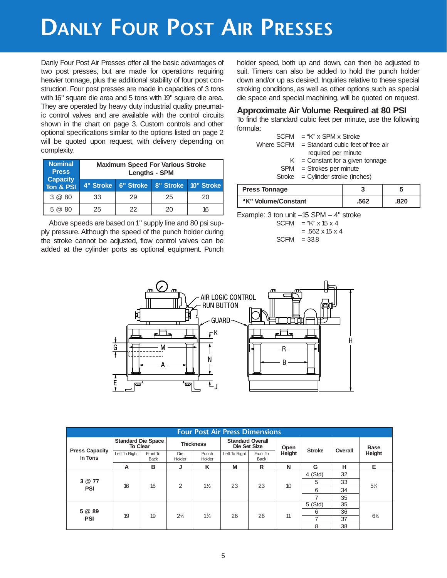## **DANLY FOUR POST AIR PRESSES**

Danly Four Post Air Presses offer all the basic advantages of two post presses, but are made for operations requiring heavier tonnage, plus the additional stability of four post construction. Four post presses are made in capacities of 3 tons with 16" square die area and 5 tons with 19" square die area. They are operated by heavy duty industrial quality pneumatic control valves and are available with the control circuits shown in the chart on page 3. Custom controls and other optional specifications similar to the options listed on page 2 will be quoted upon request, with delivery depending on complexity.

| Nominal<br><b>Press</b><br><b>Capacity</b> |    | <b>Maximum Speed For Various Stroke</b><br><b>Lengths - SPM</b> |    |    |  |  |  |  |  |  |  |
|--------------------------------------------|----|-----------------------------------------------------------------|----|----|--|--|--|--|--|--|--|
| Ton & PSI                                  |    | 4" Stroke   6" Stroke   8" Stroke   10" Stroke                  |    |    |  |  |  |  |  |  |  |
| 3 @ 80                                     | 33 | 29                                                              | 25 | 20 |  |  |  |  |  |  |  |
| 5@80                                       | 25 | 22                                                              | 20 | 16 |  |  |  |  |  |  |  |

Above speeds are based on 1" supply line and 80 psi supply pressure. Although the speed of the punch holder during the stroke cannot be adjusted, flow control valves can be added at the cylinder ports as optional equipment. Punch

holder speed, both up and down, can then be adjusted to suit. Timers can also be added to hold the punch holder down and/or up as desired. Inquiries relative to these special stroking conditions, as well as other options such as special die space and special machining, will be quoted on request.

### **Approximate Air Volume Required at 80 PSI**

To find the standard cubic feet per minute, use the following formula:

| $SCFM = "K" \times SPM \times Stroke$          |
|------------------------------------------------|
| Where $SCFM = Standard cubic$ feet of free air |
| required per minute                            |
| $K =$ Constant for a given tonnage             |
| $SPM =$ Strokes per minute                     |
| $Stroke = Cylinder stroke (inches)$            |

| <b>Press Tonnage</b> |      |      |
|----------------------|------|------|
| "K" Volume/Constant  | .562 | .820 |

Example: 3 ton unit  $-15$  SPM  $-4$ " stroke

| <b>SCFM</b> | $=$ "K" x 15 x 4            |
|-------------|-----------------------------|
|             | $= .562 \times 15 \times 4$ |
| <b>SCFM</b> | $= 33.8$                    |



|                                  | <b>Four Post Air Press Dimensions</b>        |                         |                  |                 |                                                |                  |        |               |         |                |
|----------------------------------|----------------------------------------------|-------------------------|------------------|-----------------|------------------------------------------------|------------------|--------|---------------|---------|----------------|
|                                  | <b>Standard Die Space</b><br><b>To Clear</b> |                         | <b>Thickness</b> |                 | <b>Standard Overall</b><br><b>Die Set Size</b> |                  | Open   |               | Overall | <b>Base</b>    |
| <b>Press Capacity</b><br>In Tons | Left To Right                                | Front To<br><b>Back</b> | Die<br>Holder    | Punch<br>Holder | Left To Right                                  | Front To<br>Back | Height | <b>Stroke</b> |         | Height         |
|                                  | A                                            | в                       | J                | ĸ               | M                                              | R                | N      | G             | н       | Е              |
|                                  | 16                                           | 16                      | 2                | $1\frac{1}{2}$  | 23                                             | 23               | 10     | $4$ (Std)     | 32      | $5\frac{3}{4}$ |
| 3 @ 77                           |                                              |                         |                  |                 |                                                |                  |        | 5             | 33      |                |
| <b>PSI</b>                       |                                              |                         |                  |                 |                                                |                  |        | 6             | 34      |                |
|                                  |                                              |                         |                  |                 |                                                |                  |        | 7             | 35      |                |
|                                  |                                              |                         |                  | $1\frac{3}{4}$  | 26                                             | 26               | 11     | $5$ (Std)     | 35      | $6\frac{1}{4}$ |
| 5 @ 89                           | 19                                           | 19                      | $2\frac{1}{2}$   |                 |                                                |                  |        | 6             | 36      |                |
| <b>PSI</b>                       |                                              |                         |                  |                 |                                                |                  |        | 7             | 37      |                |
|                                  |                                              |                         |                  |                 |                                                |                  |        | 8             | 38      |                |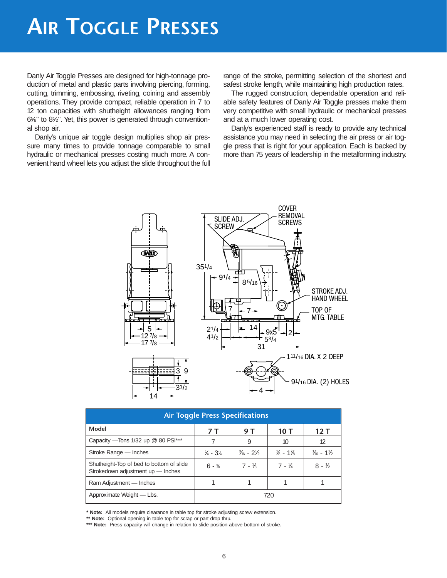## **AIR TOGGLE PRESSES**

Danly Air Toggle Presses are designed for high-tonnage production of metal and plastic parts involving piercing, forming, cutting, trimming, embossing, riveting, coining and assembly operations. They provide compact, reliable operation in 7 to 12 ton capacities with shutheight allowances ranging from 65 ⁄8" to 81 ⁄2". Yet, this power is generated through conventional shop air.

Danly's unique air toggle design multiplies shop air pressure many times to provide tonnage comparable to small hydraulic or mechanical presses costing much more. A convenient hand wheel lets you adjust the slide throughout the full range of the stroke, permitting selection of the shortest and safest stroke length, while maintaining high production rates.

The rugged construction, dependable operation and reliable safety features of Danly Air Toggle presses make them very competitive with small hydraulic or mechanical presses and at a much lower operating cost.

Danly's experienced staff is ready to provide any technical assistance you may need in selecting the air press or air toggle press that is right for your application. Each is backed by more than 75 years of leadership in the metalforming industry.



| <b>Air Toggle Press Specifications</b>                                        |                                 |                                   |                                               |                    |  |  |  |  |  |
|-------------------------------------------------------------------------------|---------------------------------|-----------------------------------|-----------------------------------------------|--------------------|--|--|--|--|--|
| Model                                                                         | 7 T                             | 9 T                               | 10 T                                          | 12 T               |  |  |  |  |  |
| Capacity - Tons 1/32 up @ 80 PSI***                                           |                                 | 9                                 | 10                                            | 12                 |  |  |  |  |  |
| Stroke Range — Inches                                                         | $\frac{1}{4}$ - 3 $\frac{1}{4}$ | $\frac{3}{16}$ - 21/ <sub>2</sub> | $\frac{1}{8}$ - 1 <sup>7</sup> / <sub>8</sub> | $\frac{1}{6}$ - 1% |  |  |  |  |  |
| Shutheight-Top of bed to bottom of slide<br>Strokedown adjustment up - Inches | $6 - \frac{5}{6}$               | $7 - \frac{3}{8}$                 | $7 - \frac{3}{4}$                             | $8 - \frac{1}{2}$  |  |  |  |  |  |
| Ram Adjustment - Inches                                                       |                                 |                                   |                                               |                    |  |  |  |  |  |
| Approximate Weight - Lbs.                                                     | 720                             |                                   |                                               |                    |  |  |  |  |  |

**\* Note:** All models require clearance in table top for stroke adjusting screw extension.

**\*\* Note:** Optional opening in table top for scrap or part drop thru.

\*\*\* Note: Press capacity will change in relation to slide position above bottom of stroke.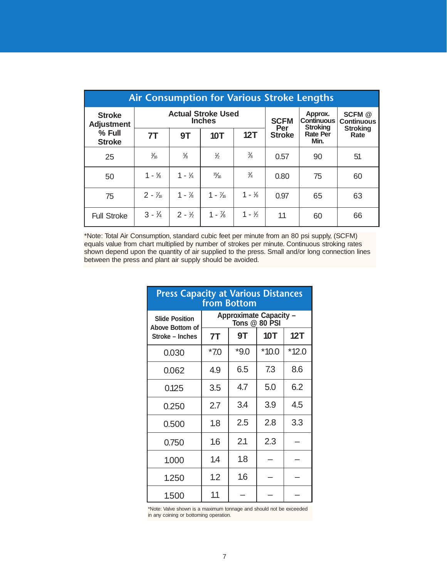| <b>Air Consumption for Various Stroke Lengths</b> |                   |                   |                                            |                   |                                                 |                                        |                         |  |  |  |  |
|---------------------------------------------------|-------------------|-------------------|--------------------------------------------|-------------------|-------------------------------------------------|----------------------------------------|-------------------------|--|--|--|--|
| <b>Stroke</b><br><b>Adjustment</b>                |                   |                   | <b>Actual Stroke Used</b><br><b>Inches</b> | <b>SCFM</b>       | Approx.<br><b>Continuous</b><br><b>Stroking</b> | SCFM <sup>@</sup><br><b>Continuous</b> |                         |  |  |  |  |
| % Full<br><b>Stroke</b>                           | 7T                | 9T                | <b>10T</b>                                 | 12T               | Per<br><b>Stroke</b>                            | <b>Rate Per</b><br>Min.                | <b>Stroking</b><br>Rate |  |  |  |  |
| 25                                                | $\frac{3}{16}$    | $\frac{5}{8}$     | $\frac{1}{2}$                              | $\frac{3}{8}$     | 0.57                                            | 90                                     | 51                      |  |  |  |  |
| 50                                                | $1 - \frac{5}{8}$ | $1 - \frac{1}{4}$ | $\frac{15}{16}$                            | $\frac{3}{4}$     | 0.80                                            | 75                                     | 60                      |  |  |  |  |
| 75                                                | $2 - \frac{7}{6}$ | $1 - \frac{7}{8}$ | $1 - \frac{7}{6}$                          | $1 - \frac{1}{8}$ | 0.97                                            | 65                                     | 63                      |  |  |  |  |
| <b>Full Stroke</b>                                | $3 - \frac{1}{4}$ | $2 - 1/2$         | $1 - \frac{7}{8}$                          | $1 - \frac{1}{2}$ | 1.1                                             | 60                                     | 66                      |  |  |  |  |

\*Note: Total Air Consumption, standard cubic feet per minute from an 80 psi supply, (SCFM) equals value from chart multiplied by number of strokes per minute. Continuous stroking rates shown depend upon the quantity of air supplied to the press. Small and/or long connection lines between the press and plant air supply should be avoided.

| <b>Press Capacity at Various Distances</b><br>from Bottom   |                                                |        |            |         |
|-------------------------------------------------------------|------------------------------------------------|--------|------------|---------|
| <b>Slide Position</b><br>Above Bottom of<br>Stroke - Inches | <b>Approximate Capacity -</b><br>Tons @ 80 PSI |        |            |         |
|                                                             | 7T                                             | 9Τ     | <b>10T</b> | 12T     |
| 0.030                                                       | $*70$                                          | $*9.0$ | $*10.0$    | $*12.0$ |
| 0.062                                                       | 4.9                                            | 6.5    | 7.3        | 8.6     |
| 0.125                                                       | 3.5                                            | 4.7    | 5.0        | 6.2     |
| 0.250                                                       | 2.7                                            | 3.4    | 3.9        | 4.5     |
| 0.500                                                       | 1.8                                            | 2.5    | 2.8        | 3.3     |
| 0.750                                                       | 1.6                                            | 2.1    | 2.3        |         |
| 1.000                                                       | 1.4                                            | 1.8    |            |         |
| 1.250                                                       | 1.2                                            | 1.6    |            |         |
| 1.500                                                       | 1.1                                            |        |            |         |

\*Note: Valve shown is a maximum tonnage and should not be exceeded in any coining or bottoming operation.